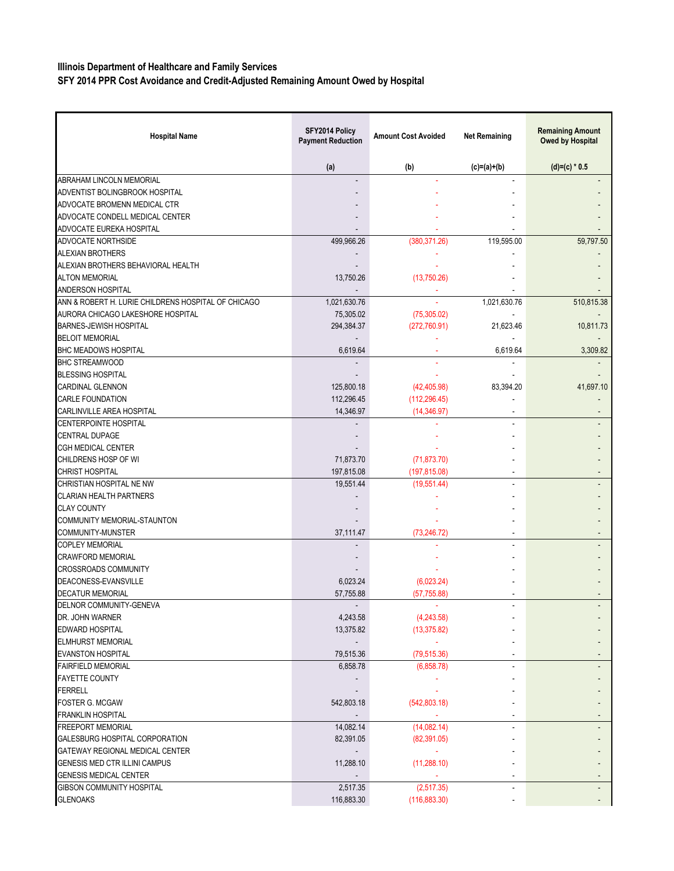## **Illinois Department of Healthcare and Family Services**

**SFY 2014 PPR Cost Avoidance and Credit-Adjusted Remaining Amount Owed by Hospital**

| <b>Hospital Name</b>                                | SFY2014 Policy<br><b>Payment Reduction</b> | <b>Amount Cost Avoided</b> | <b>Net Remaining</b> | <b>Remaining Amount</b><br>Owed by Hospital |
|-----------------------------------------------------|--------------------------------------------|----------------------------|----------------------|---------------------------------------------|
|                                                     | (a)                                        | (b)                        | $(c)=(a)+(b)$        | $(d)=(c) * 0.5$                             |
| <b>ABRAHAM LINCOLN MEMORIAL</b>                     |                                            |                            |                      |                                             |
| ADVENTIST BOLINGBROOK HOSPITAL                      |                                            |                            |                      |                                             |
| ADVOCATE BROMENN MEDICAL CTR                        |                                            |                            |                      |                                             |
| ADVOCATE CONDELL MEDICAL CENTER                     |                                            |                            |                      |                                             |
| ADVOCATE EUREKA HOSPITAL                            |                                            |                            |                      |                                             |
| ADVOCATE NORTHSIDE                                  | 499,966.26                                 | (380, 371.26)              | 119,595.00           | 59,797.50                                   |
| <b>ALEXIAN BROTHERS</b>                             |                                            |                            |                      |                                             |
| ALEXIAN BROTHERS BEHAVIORAL HEALTH                  |                                            |                            |                      |                                             |
| <b>ALTON MEMORIAL</b>                               | 13,750.26                                  | (13,750.26)                |                      |                                             |
| ANDERSON HOSPITAL                                   |                                            |                            |                      |                                             |
| ANN & ROBERT H. LURIE CHILDRENS HOSPITAL OF CHICAGO | 1,021,630.76                               |                            | 1,021,630.76         | 510,815.38                                  |
| AURORA CHICAGO LAKESHORE HOSPITAL                   | 75,305.02                                  | (75, 305.02)               |                      |                                             |
| <b>BARNES-JEWISH HOSPITAL</b>                       | 294,384.37                                 | (272, 760.91)              | 21,623.46            | 10,811.73                                   |
| <b>BELOIT MEMORIAL</b>                              |                                            |                            |                      |                                             |
| <b>BHC MEADOWS HOSPITAL</b>                         | 6,619.64                                   |                            | 6,619.64             | 3,309.82                                    |
| <b>BHC STREAMWOOD</b>                               |                                            |                            |                      |                                             |
| <b>BLESSING HOSPITAL</b>                            |                                            |                            |                      |                                             |
| <b>CARDINAL GLENNON</b>                             | 125,800.18                                 | (42, 405.98)               | 83,394.20            | 41,697.10                                   |
| <b>CARLE FOUNDATION</b>                             | 112,296.45                                 | (112, 296.45)              |                      |                                             |
| CARLINVILLE AREA HOSPITAL                           | 14,346.97                                  | (14, 346.97)               |                      |                                             |
| <b>CENTERPOINTE HOSPITAL</b>                        |                                            |                            |                      |                                             |
| CENTRAL DUPAGE                                      |                                            |                            |                      |                                             |
| <b>CGH MEDICAL CENTER</b>                           |                                            |                            |                      |                                             |
| CHILDRENS HOSP OF WI                                | 71,873.70                                  | (71, 873.70)               |                      |                                             |
| <b>CHRIST HOSPITAL</b>                              | 197,815.08                                 | (197, 815.08)              |                      |                                             |
| CHRISTIAN HOSPITAL NE NW                            | 19,551.44                                  | (19,551.44)                |                      |                                             |
| <b>CLARIAN HEALTH PARTNERS</b>                      |                                            |                            |                      |                                             |
| <b>CLAY COUNTY</b>                                  |                                            |                            |                      |                                             |
| COMMUNITY MEMORIAL-STAUNTON                         |                                            |                            |                      |                                             |
| COMMUNITY-MUNSTER                                   | 37,111.47                                  | (73, 246.72)               |                      |                                             |
| <b>COPLEY MEMORIAL</b>                              |                                            |                            |                      |                                             |
| <b>CRAWFORD MEMORIAL</b>                            |                                            |                            |                      |                                             |
| <b>CROSSROADS COMMUNITY</b>                         |                                            |                            |                      |                                             |
| DEACONESS-EVANSVILLE                                | 6,023.24                                   | (6,023.24)                 |                      |                                             |
| <b>DECATUR MEMORIAL</b>                             | 57,755.88                                  | (57, 755.88)               |                      |                                             |
| DELNOR COMMUNITY-GENEVA                             |                                            |                            |                      |                                             |
| DR. JOHN WARNER                                     | 4,243.58                                   | (4,243.58)                 |                      |                                             |
| <b>EDWARD HOSPITAL</b>                              | 13,375.82                                  | (13, 375.82)               |                      |                                             |
| <b>ELMHURST MEMORIAL</b>                            |                                            |                            |                      |                                             |
| <b>EVANSTON HOSPITAL</b>                            | 79,515.36                                  | (79, 515.36)               |                      |                                             |
| <b>FAIRFIELD MEMORIAL</b>                           | 6,858.78                                   | (6,858.78)                 |                      |                                             |
| <b>FAYETTE COUNTY</b>                               |                                            |                            |                      |                                             |
| <b>FERRELL</b>                                      |                                            |                            |                      |                                             |
| <b>FOSTER G. MCGAW</b>                              | 542,803.18                                 | (542,803.18)               |                      |                                             |
| <b>FRANKLIN HOSPITAL</b>                            |                                            |                            |                      |                                             |
| <b>FREEPORT MEMORIAL</b>                            | 14,082.14                                  | (14,082.14)                |                      |                                             |
| GALESBURG HOSPITAL CORPORATION                      | 82,391.05                                  | (82, 391.05)               |                      |                                             |
| GATEWAY REGIONAL MEDICAL CENTER                     |                                            |                            |                      |                                             |
| GENESIS MED CTR ILLINI CAMPUS                       | 11,288.10                                  | (11, 288.10)               |                      |                                             |
| <b>GENESIS MEDICAL CENTER</b>                       |                                            |                            |                      |                                             |
| <b>GIBSON COMMUNITY HOSPITAL</b>                    | 2,517.35                                   | (2,517.35)                 |                      |                                             |
| <b>GLENOAKS</b>                                     | 116,883.30                                 | (116, 883.30)              |                      |                                             |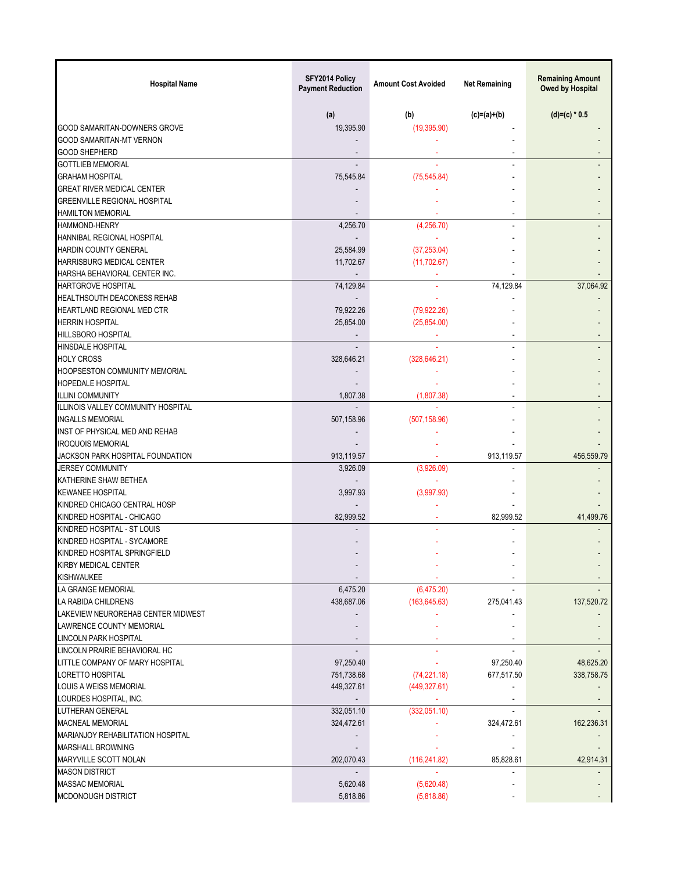| <b>Hospital Name</b>                 | SFY2014 Policy<br><b>Payment Reduction</b> | <b>Amount Cost Avoided</b> | <b>Net Remaining</b> | <b>Remaining Amount</b><br><b>Owed by Hospital</b> |
|--------------------------------------|--------------------------------------------|----------------------------|----------------------|----------------------------------------------------|
|                                      | (a)                                        | (b)                        | $(c)=(a)+(b)$        | $(d)=(c) * 0.5$                                    |
| GOOD SAMARITAN-DOWNERS GROVE         | 19,395.90                                  | (19, 395.90)               |                      |                                                    |
| <b>GOOD SAMARITAN-MT VERNON</b>      |                                            |                            |                      |                                                    |
| <b>GOOD SHEPHERD</b>                 |                                            |                            |                      |                                                    |
| <b>GOTTLIEB MEMORIAL</b>             | $\overline{a}$                             |                            |                      |                                                    |
| <b>GRAHAM HOSPITAL</b>               | 75,545.84                                  | (75, 545.84)               |                      |                                                    |
| <b>GREAT RIVER MEDICAL CENTER</b>    |                                            |                            |                      |                                                    |
| <b>GREENVILLE REGIONAL HOSPITAL</b>  |                                            |                            |                      |                                                    |
| <b>HAMILTON MEMORIAL</b>             |                                            |                            |                      |                                                    |
| <b>HAMMOND-HENRY</b>                 | 4,256.70                                   | (4,256.70)                 |                      |                                                    |
| HANNIBAL REGIONAL HOSPITAL           |                                            |                            |                      |                                                    |
| <b>HARDIN COUNTY GENERAL</b>         | 25,584.99                                  | (37, 253.04)               |                      |                                                    |
| HARRISBURG MEDICAL CENTER            | 11,702.67                                  | (11,702.67)                |                      |                                                    |
| HARSHA BEHAVIORAL CENTER INC.        |                                            |                            |                      |                                                    |
| <b>HARTGROVE HOSPITAL</b>            | 74,129.84                                  |                            | 74.129.84            | 37,064.92                                          |
| HEALTHSOUTH DEACONESS REHAB          |                                            |                            |                      |                                                    |
| HEARTLAND REGIONAL MED CTR           | 79,922.26                                  | (79, 922.26)               |                      |                                                    |
| <b>HERRIN HOSPITAL</b>               | 25,854.00                                  | (25, 854.00)               |                      |                                                    |
| <b>HILLSBORO HOSPITAL</b>            |                                            |                            | $\blacksquare$       |                                                    |
| <b>HINSDALE HOSPITAL</b>             |                                            |                            |                      |                                                    |
| <b>HOLY CROSS</b>                    | 328,646.21                                 | (328, 646.21)              |                      |                                                    |
| <b>HOOPSESTON COMMUNITY MEMORIAL</b> |                                            |                            |                      |                                                    |
|                                      |                                            |                            |                      |                                                    |
| <b>HOPEDALE HOSPITAL</b>             |                                            |                            |                      |                                                    |
| <b>ILLINI COMMUNITY</b>              | 1,807.38                                   | (1,807.38)                 |                      |                                                    |
| ILLINOIS VALLEY COMMUNITY HOSPITAL   |                                            |                            |                      |                                                    |
| <b>INGALLS MEMORIAL</b>              | 507,158.96                                 | (507, 158.96)              |                      |                                                    |
| INST OF PHYSICAL MED AND REHAB       |                                            |                            |                      |                                                    |
| <b>IROQUOIS MEMORIAL</b>             |                                            |                            |                      |                                                    |
| JACKSON PARK HOSPITAL FOUNDATION     | 913,119.57                                 |                            | 913,119.57           | 456,559.79                                         |
| <b>JERSEY COMMUNITY</b>              | 3,926.09                                   | (3,926.09)                 |                      |                                                    |
| KATHERINE SHAW BETHEA                |                                            |                            |                      |                                                    |
| <b>KEWANEE HOSPITAL</b>              | 3,997.93                                   | (3,997.93)                 |                      |                                                    |
| KINDRED CHICAGO CENTRAL HOSP         |                                            |                            |                      |                                                    |
| KINDRED HOSPITAL - CHICAGO           | 82,999.52                                  |                            | 82,999.52            | 41,499.76                                          |
| KINDRED HOSPITAL - ST LOUIS          |                                            |                            |                      |                                                    |
| KINDRED HOSPITAL - SYCAMORE          |                                            |                            |                      |                                                    |
| KINDRED HOSPITAL SPRINGFIELD         |                                            |                            |                      |                                                    |
| KIRBY MEDICAL CENTER                 |                                            |                            |                      |                                                    |
| <b>KISHWAUKEE</b>                    |                                            |                            |                      |                                                    |
| LA GRANGE MEMORIAL                   | 6,475.20                                   | (6,475.20)                 |                      |                                                    |
| LA RABIDA CHILDRENS                  | 438,687.06                                 | (163, 645.63)              | 275,041.43           | 137,520.72                                         |
| LAKEVIEW NEUROREHAB CENTER MIDWEST   |                                            |                            |                      |                                                    |
| LAWRENCE COUNTY MEMORIAL             |                                            |                            |                      |                                                    |
| LINCOLN PARK HOSPITAL                |                                            |                            |                      |                                                    |
| LINCOLN PRAIRIE BEHAVIORAL HC        |                                            |                            |                      |                                                    |
| LITTLE COMPANY OF MARY HOSPITAL      | 97,250.40                                  |                            | 97,250.40            | 48,625.20                                          |
| LORETTO HOSPITAL                     | 751,738.68                                 | (74, 221.18)               | 677,517.50           | 338,758.75                                         |
| LOUIS A WEISS MEMORIAL               | 449,327.61                                 | (449, 327.61)              |                      |                                                    |
| LOURDES HOSPITAL, INC.               |                                            |                            |                      |                                                    |
| LUTHERAN GENERAL                     | 332,051.10                                 | (332,051.10)               |                      |                                                    |
| <b>MACNEAL MEMORIAL</b>              | 324,472.61                                 |                            | 324,472.61           | 162,236.31                                         |
| MARIANJOY REHABILITATION HOSPITAL    |                                            |                            |                      |                                                    |
| <b>MARSHALL BROWNING</b>             |                                            |                            |                      |                                                    |
| MARYVILLE SCOTT NOLAN                | 202,070.43                                 | (116, 241.82)              | 85,828.61            | 42,914.31                                          |
| <b>MASON DISTRICT</b>                |                                            |                            |                      |                                                    |
| <b>MASSAC MEMORIAL</b>               | 5,620.48                                   | (5,620.48)                 |                      |                                                    |
| MCDONOUGH DISTRICT                   | 5,818.86                                   | (5,818.86)                 |                      |                                                    |
|                                      |                                            |                            |                      |                                                    |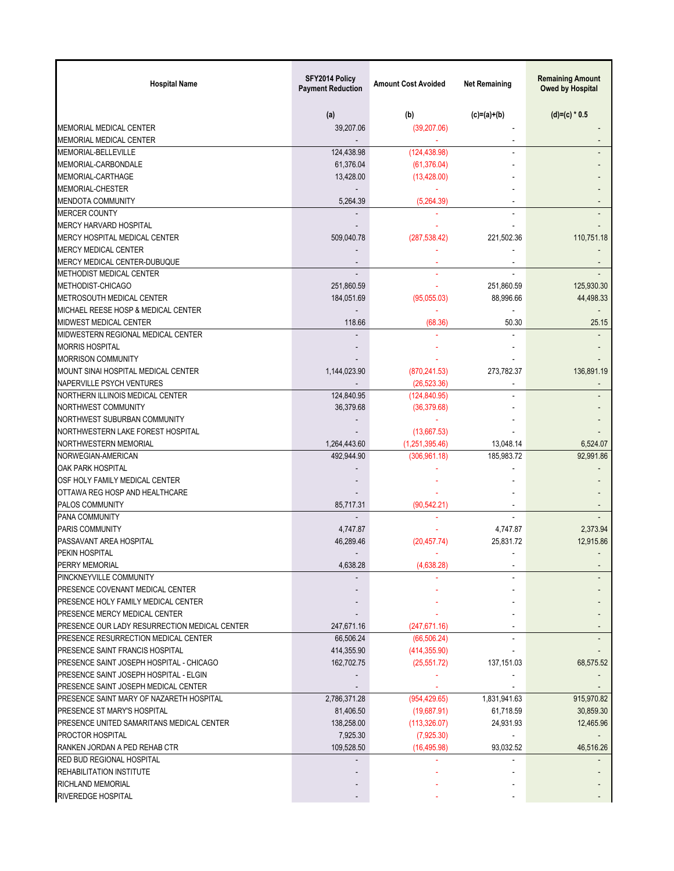| <b>Hospital Name</b>                          | SFY2014 Policy<br><b>Payment Reduction</b> | <b>Amount Cost Avoided</b> | <b>Net Remaining</b>     | <b>Remaining Amount</b><br>Owed by Hospital |
|-----------------------------------------------|--------------------------------------------|----------------------------|--------------------------|---------------------------------------------|
|                                               | (a)                                        | (b)                        | $(c)=(a)+(b)$            | $(d)=(c) * 0.5$                             |
| MEMORIAL MEDICAL CENTER                       | 39,207.06                                  | (39, 207.06)               |                          |                                             |
| <b>MEMORIAL MEDICAL CENTER</b>                |                                            |                            | $\sim$                   |                                             |
| MEMORIAL-BELLEVILLE                           | 124,438.98                                 | (124, 438.98)              |                          |                                             |
| MEMORIAL-CARBONDALE                           | 61,376.04                                  | (61, 376.04)               |                          |                                             |
| MEMORIAL-CARTHAGE                             | 13,428.00                                  | (13, 428.00)               |                          |                                             |
| <b>MEMORIAL-CHESTER</b>                       |                                            |                            |                          |                                             |
| MENDOTA COMMUNITY                             | 5.264.39                                   | (5,264.39)                 |                          |                                             |
| <b>MERCER COUNTY</b>                          |                                            |                            |                          |                                             |
| MERCY HARVARD HOSPITAL                        |                                            |                            |                          |                                             |
| MERCY HOSPITAL MEDICAL CENTER                 | 509,040.78                                 | (287, 538.42)              | 221,502.36               | 110,751.18                                  |
| <b>MERCY MEDICAL CENTER</b>                   |                                            |                            |                          |                                             |
| MERCY MEDICAL CENTER-DUBUQUE                  |                                            |                            |                          |                                             |
| <b>METHODIST MEDICAL CENTER</b>               |                                            |                            |                          |                                             |
| METHODIST-CHICAGO                             | 251,860.59                                 |                            | 251.860.59               | 125,930.30                                  |
| METROSOUTH MEDICAL CENTER                     | 184,051.69                                 | (95,055.03)                | 88,996.66                | 44,498.33                                   |
| MICHAEL REESE HOSP & MEDICAL CENTER           |                                            |                            |                          |                                             |
| <b>MIDWEST MEDICAL CENTER</b>                 | 118.66                                     | (68.36)                    | 50.30                    | 25.15                                       |
| MIDWESTERN REGIONAL MEDICAL CENTER            |                                            |                            |                          |                                             |
| <b>MORRIS HOSPITAL</b>                        |                                            |                            |                          |                                             |
| <b>MORRISON COMMUNITY</b>                     |                                            |                            |                          |                                             |
| MOUNT SINAI HOSPITAL MEDICAL CENTER           | 1,144,023.90                               | (870, 241.53)              | 273,782.37               | 136,891.19                                  |
| NAPERVILLE PSYCH VENTURES                     |                                            | (26, 523.36)               |                          |                                             |
| NORTHERN ILLINOIS MEDICAL CENTER              | 124,840.95                                 | (124, 840.95)              |                          |                                             |
| NORTHWEST COMMUNITY                           | 36,379.68                                  | (36, 379.68)               |                          |                                             |
| NORTHWEST SUBURBAN COMMUNITY                  |                                            |                            |                          |                                             |
| NORTHWESTERN LAKE FOREST HOSPITAL             |                                            | (13,667.53)                |                          |                                             |
| NORTHWESTERN MEMORIAL                         | 1,264,443.60                               | (1,251,395.46)             | 13,048.14                | 6,524.07                                    |
| NORWEGIAN-AMERICAN                            | 492,944.90                                 | (306, 961.18)              | 185,983.72               | 92,991.86                                   |
| OAK PARK HOSPITAL                             |                                            |                            |                          |                                             |
| OSF HOLY FAMILY MEDICAL CENTER                |                                            |                            |                          |                                             |
| OTTAWA REG HOSP AND HEALTHCARE                |                                            |                            |                          |                                             |
| <b>PALOS COMMUNITY</b>                        | 85,717.31                                  | (90, 542.21)               |                          |                                             |
| <b>PANA COMMUNITY</b>                         |                                            |                            |                          |                                             |
| <b>PARIS COMMUNITY</b>                        | 4,747.87                                   |                            | 4,747.87                 | 2,373.94                                    |
| PASSAVANT AREA HOSPITAL                       | 46,289.46                                  | (20, 457.74)               | 25,831.72                | 12,915.86                                   |
| PFKIN HOSPITAL                                |                                            |                            |                          |                                             |
| PERRY MEMORIAL                                | 4,638.28                                   | (4,638.28)                 | $\overline{\phantom{a}}$ |                                             |
| PINCKNEYVILLE COMMUNITY                       |                                            |                            |                          |                                             |
| PRESENCE COVENANT MEDICAL CENTER              |                                            |                            |                          |                                             |
| PRESENCE HOLY FAMILY MEDICAL CENTER           |                                            |                            |                          |                                             |
| PRESENCE MERCY MEDICAL CENTER                 |                                            |                            |                          |                                             |
| PRESENCE OUR LADY RESURRECTION MEDICAL CENTER | 247,671.16                                 | (247, 671.16)              |                          |                                             |
| PRESENCE RESURRECTION MEDICAL CENTER          | 66,506.24                                  | (66, 506.24)               |                          |                                             |
| PRESENCE SAINT FRANCIS HOSPITAL               | 414,355.90                                 | (414, 355.90)              |                          |                                             |
| PRESENCE SAINT JOSEPH HOSPITAL - CHICAGO      | 162,702.75                                 | (25, 551.72)               | 137, 151.03              | 68,575.52                                   |
| PRESENCE SAINT JOSEPH HOSPITAL - ELGIN        |                                            |                            |                          |                                             |
| PRESENCE SAINT JOSEPH MEDICAL CENTER          |                                            |                            |                          |                                             |
| PRESENCE SAINT MARY OF NAZARETH HOSPITAL      | 2,786,371.28                               | (954, 429.65)              | 1,831,941.63             | 915,970.82                                  |
| PRESENCE ST MARY'S HOSPITAL                   | 81,406.50                                  | (19,687.91)                | 61,718.59                | 30,859.30                                   |
| PRESENCE UNITED SAMARITANS MEDICAL CENTER     | 138,258.00                                 | (113, 326.07)              | 24,931.93                | 12,465.96                                   |
| <b>PROCTOR HOSPITAL</b>                       | 7,925.30                                   | (7,925.30)                 |                          |                                             |
| RANKEN JORDAN A PED REHAB CTR                 | 109,528.50                                 | (16, 495.98)               | 93,032.52                | 46,516.26                                   |
| <b>RED BUD REGIONAL HOSPITAL</b>              |                                            |                            |                          |                                             |
| <b>REHABILITATION INSTITUTE</b>               |                                            |                            |                          |                                             |
| <b>RICHLAND MEMORIAL</b>                      |                                            |                            |                          |                                             |
| RIVEREDGE HOSPITAL                            |                                            |                            |                          |                                             |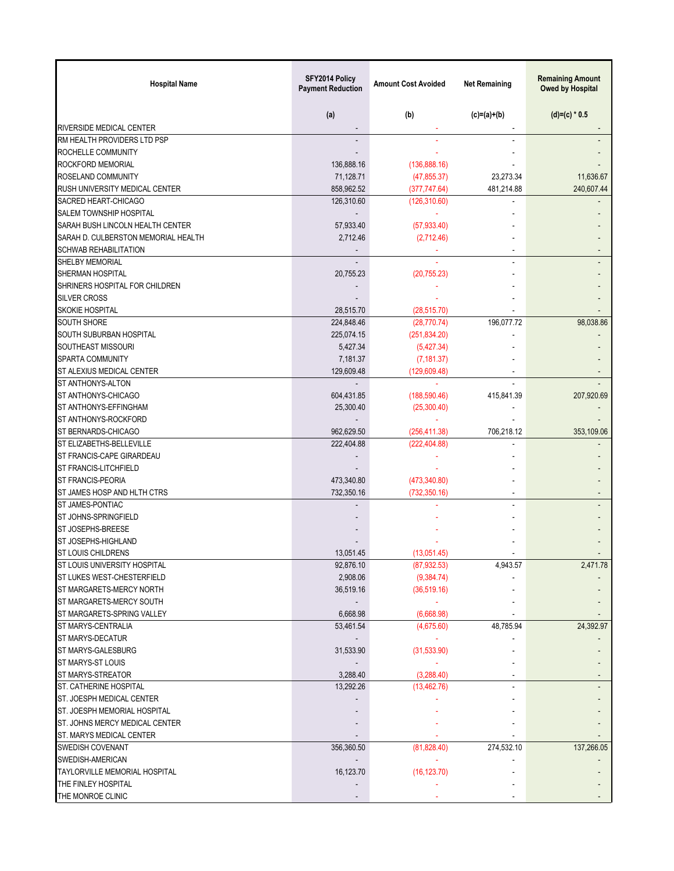| <b>Hospital Name</b>                  | SFY2014 Policy<br><b>Payment Reduction</b> | <b>Amount Cost Avoided</b> | <b>Net Remaining</b> | <b>Remaining Amount</b><br><b>Owed by Hospital</b> |
|---------------------------------------|--------------------------------------------|----------------------------|----------------------|----------------------------------------------------|
|                                       | (a)                                        | (b)                        | $(c)=(a)+(b)$        | $(d)=(c) * 0.5$                                    |
| <b>RIVERSIDE MEDICAL CENTER</b>       |                                            |                            |                      |                                                    |
| RM HEALTH PROVIDERS LTD PSP           |                                            |                            |                      |                                                    |
| ROCHELLE COMMUNITY                    |                                            |                            |                      |                                                    |
| ROCKFORD MEMORIAL                     | 136,888.16                                 | (136,888.16)               |                      |                                                    |
| ROSELAND COMMUNITY                    | 71,128.71                                  | (47, 855.37)               | 23,273.34            | 11,636.67                                          |
| <b>RUSH UNIVERSITY MEDICAL CENTER</b> | 858,962.52                                 | (377, 747.64)              | 481,214.88           | 240,607.44                                         |
| SACRED HEART-CHICAGO                  | 126,310.60                                 | (126, 310.60)              |                      |                                                    |
| <b>SALEM TOWNSHIP HOSPITAL</b>        |                                            |                            |                      |                                                    |
| SARAH BUSH LINCOLN HEALTH CENTER      | 57,933.40                                  | (57, 933.40)               |                      |                                                    |
| SARAH D. CULBERSTON MEMORIAL HEALTH   | 2,712.46                                   | (2,712.46)                 |                      |                                                    |
| <b>SCHWAB REHABILITATION</b>          |                                            |                            | $\sim$               |                                                    |
| SHELBY MEMORIAL                       |                                            |                            |                      |                                                    |
| SHERMAN HOSPITAL                      | 20,755.23                                  | (20, 755.23)               |                      |                                                    |
| SHRINERS HOSPITAL FOR CHILDREN        |                                            |                            |                      |                                                    |
| <b>SILVER CROSS</b>                   |                                            |                            |                      |                                                    |
| <b>SKOKIE HOSPITAL</b>                | 28,515.70                                  | (28, 515.70)               |                      |                                                    |
| <b>SOUTH SHORE</b>                    | 224,848.46                                 | (28, 770.74)               | 196,077.72           | 98,038.86                                          |
| SOUTH SUBURBAN HOSPITAL               | 225,074.15                                 | (251, 834.20)              |                      |                                                    |
| SOUTHEAST MISSOURI                    | 5,427.34                                   | (5,427.34)                 |                      |                                                    |
| SPARTA COMMUNITY                      | 7,181.37                                   | (7, 181.37)                |                      |                                                    |
| ST ALEXIUS MEDICAL CENTER             | 129,609.48                                 | (129, 609.48)              |                      |                                                    |
| ST ANTHONYS-ALTON                     |                                            |                            |                      |                                                    |
| ST ANTHONYS-CHICAGO                   | 604,431.85                                 | (188, 590.46)              | 415,841.39           | 207,920.69                                         |
| ST ANTHONYS-EFFINGHAM                 | 25,300.40                                  | (25,300.40)                |                      |                                                    |
| ST ANTHONYS-ROCKFORD                  |                                            |                            |                      |                                                    |
| ST BERNARDS-CHICAGO                   | 962,629.50                                 | (256, 411.38)              | 706,218.12           | 353,109.06                                         |
| ST ELIZABETHS-BELLEVILLE              | 222,404.88                                 | (222, 404.88)              |                      |                                                    |
| ST FRANCIS-CAPE GIRARDEAU             |                                            |                            |                      |                                                    |
| <b>ST FRANCIS-LITCHFIELD</b>          |                                            |                            |                      |                                                    |
| <b>ST FRANCIS-PEORIA</b>              | 473,340.80                                 | (473, 340.80)              |                      |                                                    |
| ST JAMES HOSP AND HLTH CTRS           | 732,350.16                                 | (732, 350.16)              |                      |                                                    |
| ST JAMES-PONTIAC                      |                                            |                            |                      |                                                    |
| ST JOHNS-SPRINGFIELD                  |                                            |                            |                      |                                                    |
| ST JOSEPHS-BREESE                     |                                            |                            |                      |                                                    |
| ST JOSEPHS-HIGHLAND                   |                                            |                            |                      |                                                    |
| ST LOUIS CHILDRENS                    | 13,051.45                                  | (13,051.45)                |                      |                                                    |
| ST LOUIS UNIVERSITY HOSPITAL          | 92,876.10                                  | (87, 932.53)               | 4,943.57             | 2,471.78                                           |
| ST LUKES WEST-CHESTERFIELD            | 2,908.06                                   | (9, 384.74)                |                      |                                                    |
| ST MARGARETS-MERCY NORTH              | 36,519.16                                  | (36, 519.16)               |                      |                                                    |
| ST MARGARETS-MERCY SOUTH              |                                            |                            |                      |                                                    |
| ST MARGARETS-SPRING VALLEY            | 6,668.98                                   | (6,668.98)                 |                      |                                                    |
| ST MARYS-CENTRALIA                    | 53,461.54                                  | (4,675.60)                 | 48,785.94            | 24,392.97                                          |
| ST MARYS-DECATUR                      |                                            |                            |                      |                                                    |
| ST MARYS-GALESBURG                    | 31,533.90                                  | (31,533.90)                |                      |                                                    |
| ST MARYS-ST LOUIS                     |                                            |                            |                      |                                                    |
| ST MARYS-STREATOR                     | 3,288.40                                   | (3,288.40)                 |                      |                                                    |
| ST. CATHERINE HOSPITAL                | 13,292.26                                  | (13, 462.76)               |                      |                                                    |
| ST. JOESPH MEDICAL CENTER             |                                            |                            |                      |                                                    |
| ST. JOESPH MEMORIAL HOSPITAL          |                                            |                            |                      |                                                    |
| ST. JOHNS MERCY MEDICAL CENTER        |                                            |                            |                      |                                                    |
| ST. MARYS MEDICAL CENTER              |                                            |                            |                      |                                                    |
| <b>SWEDISH COVENANT</b>               | 356,360.50                                 | (81, 828.40)               | 274,532.10           | 137,266.05                                         |
| SWEDISH-AMERICAN                      |                                            |                            |                      |                                                    |
| <b>TAYLORVILLE MEMORIAL HOSPITAL</b>  | 16,123.70                                  | (16, 123.70)               |                      |                                                    |
| THE FINLEY HOSPITAL                   |                                            |                            |                      |                                                    |
| THE MONROE CLINIC                     |                                            |                            |                      |                                                    |
|                                       |                                            |                            |                      |                                                    |